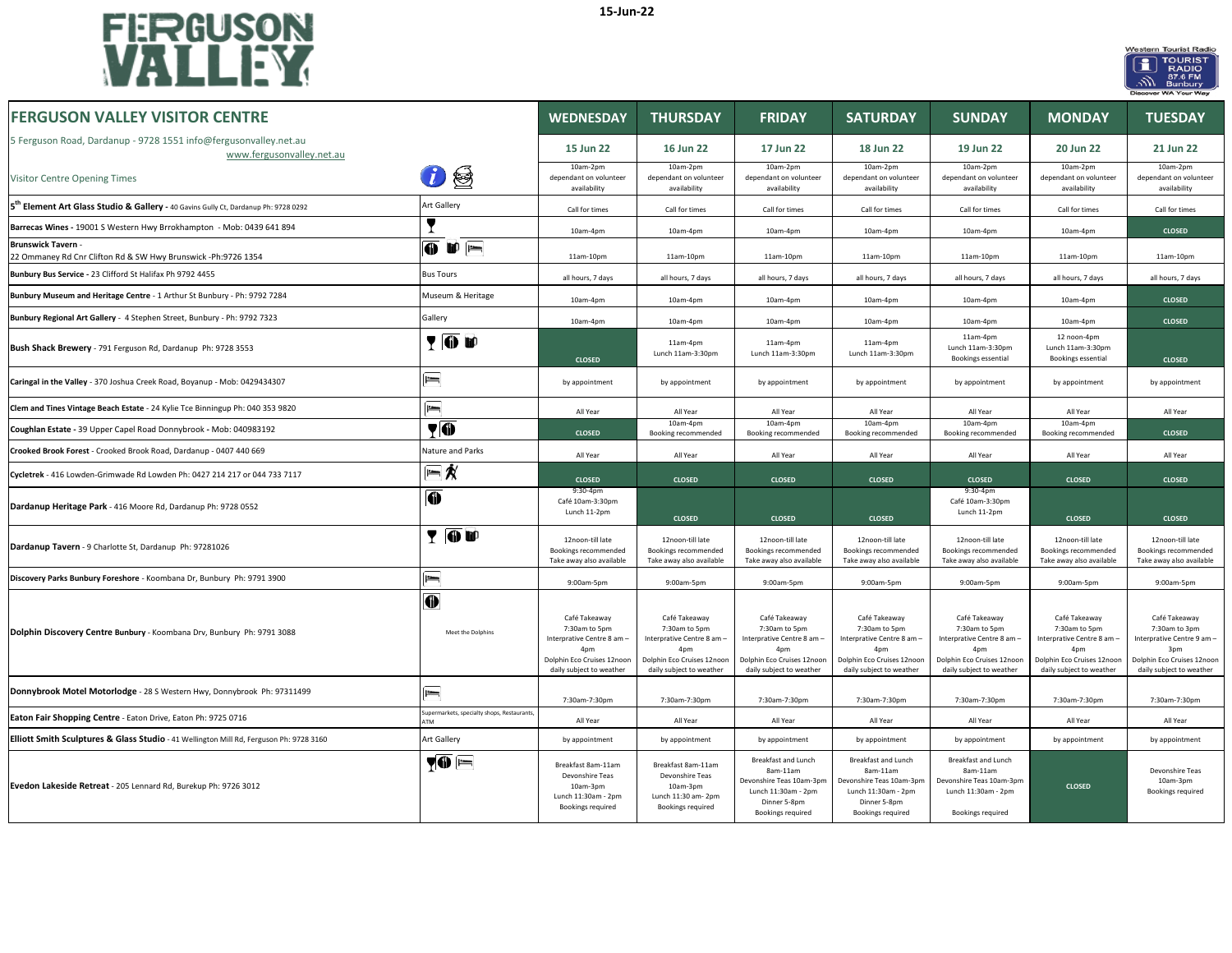



| <b>FERGUSON VALLEY VISITOR CENTRE</b>                                                           |                                                        | <b>WEDNESDAY</b>                                                                                                              | <b>THURSDAY</b>                                                                                                               | <b>FRIDAY</b>                                                                                                                 | <b>SATURDAY</b>                                                                                                                           | <b>SUNDAY</b>                                                                                                                             | <b>MONDAY</b>                                                                                                                             | <b>TUESDAY</b>                                                                                                                |
|-------------------------------------------------------------------------------------------------|--------------------------------------------------------|-------------------------------------------------------------------------------------------------------------------------------|-------------------------------------------------------------------------------------------------------------------------------|-------------------------------------------------------------------------------------------------------------------------------|-------------------------------------------------------------------------------------------------------------------------------------------|-------------------------------------------------------------------------------------------------------------------------------------------|-------------------------------------------------------------------------------------------------------------------------------------------|-------------------------------------------------------------------------------------------------------------------------------|
| 5 Ferguson Road, Dardanup - 9728 1551 info@fergusonvalley.net.au<br>www.fergusonvalley.net.au   |                                                        | 15 Jun 22                                                                                                                     | 16 Jun 22                                                                                                                     | 17 Jun 22                                                                                                                     | 18 Jun 22                                                                                                                                 | 19 Jun 22                                                                                                                                 | 20 Jun 22                                                                                                                                 | 21 Jun 22                                                                                                                     |
| Visitor Centre Opening Times                                                                    | ⊜                                                      | 10am-2pm<br>dependant on volunteer<br>availability                                                                            | 10am-2pm<br>dependant on volunteer<br>availability                                                                            | 10am-2pm<br>dependant on volunteer<br>availability                                                                            | 10am-2pm<br>dependant on volunteer<br>availability                                                                                        | 10am-2pm<br>dependant on volunteer<br>availability                                                                                        | 10am-2pm<br>dependant on volunteer<br>availability                                                                                        | 10am-2pm<br>dependant on volunteer<br>availability                                                                            |
| 5 <sup>th</sup> Element Art Glass Studio & Gallery - 40 Gavins Gully Ct, Dardanup Ph: 9728 0292 | Art Gallery                                            | Call for times                                                                                                                | Call for times                                                                                                                | Call for times                                                                                                                | Call for times                                                                                                                            | Call for times                                                                                                                            | Call for times                                                                                                                            | Call for times                                                                                                                |
| Barrecas Wines - 19001 S Western Hwy Brrokhampton - Mob: 0439 641 894                           |                                                        | 10am-4pm                                                                                                                      | $10am-4nm$                                                                                                                    | $10am-4nm$                                                                                                                    | $10am-4nm$                                                                                                                                | 10am-4pm                                                                                                                                  | $10am-4nm$                                                                                                                                | <b>CLOSED</b>                                                                                                                 |
| <b>Brunswick Tavern -</b><br>22 Ommaney Rd Cnr Clifton Rd & SW Hwy Brunswick -Ph:9726 1354      | $\overline{0}$ if $\overline{1}$                       | 11am-10pm                                                                                                                     | 11am-10pm                                                                                                                     | 11am-10pm                                                                                                                     | 11am-10pm                                                                                                                                 | 11am-10pm                                                                                                                                 | 11am-10pm                                                                                                                                 | $11am-10pn$                                                                                                                   |
| Bunbury Bus Service - 23 Clifford St Halifax Ph 9792 4455                                       | <b>Bus Tours</b>                                       | all hours, 7 days                                                                                                             | all hours, 7 days                                                                                                             | all hours, 7 days                                                                                                             | all hours, 7 days                                                                                                                         | all hours, 7 days                                                                                                                         | all hours, 7 days                                                                                                                         | all hours, 7 days                                                                                                             |
| Bunbury Museum and Heritage Centre - 1 Arthur St Bunbury - Ph: 9792 7284                        | Museum & Heritage                                      | 10am-4pm                                                                                                                      | 10am-4pm                                                                                                                      | 10am-4pm                                                                                                                      | 10am-4pm                                                                                                                                  | 10am-4pm                                                                                                                                  | 10am-4pm                                                                                                                                  | <b>CLOSED</b>                                                                                                                 |
| Bunbury Regional Art Gallery - 4 Stephen Street, Bunbury - Ph: 9792 7323                        | Gallery                                                | 10am-4pm                                                                                                                      | 10am-4pm                                                                                                                      | 10am-4pm                                                                                                                      | 10am-4pm                                                                                                                                  | 10am-4pm                                                                                                                                  | 10am-4pm                                                                                                                                  | <b>CLOSED</b>                                                                                                                 |
| Bush Shack Brewery - 791 Ferguson Rd, Dardanup Ph: 9728 3553                                    | <b>TOD</b>                                             | <b>CLOSED</b>                                                                                                                 | 11am-4pm<br>Lunch 11am-3:30pm                                                                                                 | 11am-4pm<br>Lunch 11am-3:30pm                                                                                                 | 11am-4pm<br>Lunch 11am-3:30pm                                                                                                             | 11am-4pm<br>Lunch 11am-3:30pm<br>Bookings essential                                                                                       | 12 noon-4pm<br>Lunch 11am-3:30pm<br>Bookings essential                                                                                    | <b>CLOSED</b>                                                                                                                 |
| Caringal in the Valley - 370 Joshua Creek Road, Boyanup - Mob: 0429434307                       | $\equiv$                                               | by appointment                                                                                                                | by appointment                                                                                                                | by appointment                                                                                                                | by appointment                                                                                                                            | by appointment                                                                                                                            | by appointment                                                                                                                            | by appointment                                                                                                                |
| Clem and Tines Vintage Beach Estate - 24 Kylie Tce Binningup Ph: 040 353 9820                   | $=$                                                    | All Year                                                                                                                      | All Year                                                                                                                      | All Year                                                                                                                      | All Year                                                                                                                                  | All Year                                                                                                                                  | All Year                                                                                                                                  | All Year                                                                                                                      |
| Coughlan Estate - 39 Upper Capel Road Donnybrook - Mob: 040983192                               | $\P$                                                   | <b>CLOSED</b>                                                                                                                 | 10am-4pm<br>Booking recommended                                                                                               | 10am-4pm<br>Booking recommended                                                                                               | 10am-4pm<br>Booking recommended                                                                                                           | 10am-4pm<br>Booking recommended                                                                                                           | 10am-4pm<br>Booking recommended                                                                                                           | <b>CLOSED</b>                                                                                                                 |
| Crooked Brook Forest - Crooked Brook Road, Dardanup - 0407 440 669                              | Nature and Parks                                       | All Year                                                                                                                      | All Year                                                                                                                      | All Year                                                                                                                      | All Year                                                                                                                                  | All Year                                                                                                                                  | All Year                                                                                                                                  | All Year                                                                                                                      |
| Cycletrek - 416 Lowden-Grimwade Rd Lowden Ph: 0427 214 217 or 044 733 7117                      | $= 1/2$                                                | <b>CLOSED</b>                                                                                                                 | <b>CLOSED</b>                                                                                                                 | <b>CLOSED</b>                                                                                                                 | <b>CLOSED</b>                                                                                                                             | <b>CLOSED</b>                                                                                                                             | <b>CLOSED</b>                                                                                                                             | <b>CLOSED</b>                                                                                                                 |
| Dardanup Heritage Park - 416 Moore Rd, Dardanup Ph: 9728 0552                                   | $\bf 0$                                                | 9:30-4pm<br>Café 10am-3:30pm<br>Lunch 11-2pm                                                                                  | <b>CLOSED</b>                                                                                                                 | <b>CLOSED</b>                                                                                                                 | <b>CLOSED</b>                                                                                                                             | 9:30-4pm<br>Café 10am-3:30pm<br>Lunch 11-2pm                                                                                              | <b>CLOSED</b>                                                                                                                             | <b>CLOSED</b>                                                                                                                 |
| Dardanup Tavern - 9 Charlotte St, Dardanup Ph: 97281026                                         | YOU                                                    | 12noon-till late<br>Bookings recommended<br>Take away also available                                                          | 12noon-till late<br>Bookings recommended<br>Take away also available                                                          | 12noon-till late<br>Bookings recommended<br>Take away also available                                                          | 12noon-till late<br>Bookings recommended<br>Take away also available                                                                      | 12noon-till late<br>Bookings recommended<br>Take away also available                                                                      | 12noon-till late<br>Bookings recommended<br>Take away also available                                                                      | 12noon-till late<br>Bookings recommended<br>Take away also available                                                          |
| Discovery Parks Bunbury Foreshore - Koombana Dr, Bunbury Ph: 9791 3900                          | $=$                                                    | 9:00am-5pm                                                                                                                    | 9:00am-5pm                                                                                                                    | 9:00am-5pm                                                                                                                    | 9:00am-5pm                                                                                                                                | 9:00am-5pm                                                                                                                                | 9:00am-5pm                                                                                                                                | 9:00am-5pm                                                                                                                    |
| Dolphin Discovery Centre Bunbury - Koombana Drv, Bunbury Ph: 9791 3088                          | $\bf\Psi$<br>Meet the Dolphins                         | Café Takeaway<br>7:30am to 5pm<br>Interprative Centre 8 am -<br>4pm<br>Dolphin Eco Cruises 12noor<br>daily subject to weather | Café Takeaway<br>7:30am to 5pm<br>Interprative Centre 8 am -<br>4pm<br>Dolphin Eco Cruises 12noon<br>daily subject to weather | Café Takeaway<br>7:30am to 5pm<br>Interprative Centre 8 am -<br>4pm<br>Dolphin Eco Cruises 12noor<br>daily subject to weather | Café Takeaway<br>7:30am to 5pm<br>Interprative Centre 8 am -<br>4 <sub>nm</sub><br>Dolphin Eco Cruises 12noon<br>daily subject to weather | Café Takeaway<br>7:30am to 5pm<br>Interprative Centre 8 am -<br>4 <sub>nm</sub><br>Dolphin Eco Cruises 12noon<br>daily subject to weather | Café Takeaway<br>7:30am to 5pm<br>Interprative Centre 8 am -<br>4 <sub>nr</sub><br>Dolphin Eco Cruises 12noon<br>daily subject to weather | Café Takeaway<br>7:30am to 3pm<br>Interprative Centre 9 am -<br>3pm<br>Dolphin Eco Cruises 12noon<br>daily subject to weather |
| Donnybrook Motel Motorlodge - 28 S Western Hwy, Donnybrook Ph: 97311499                         | $=$                                                    | 7:30am-7:30pm                                                                                                                 | 7:30am-7:30pm                                                                                                                 | 7:30am-7:30pm                                                                                                                 | 7:30am-7:30pm                                                                                                                             | 7:30am-7:30pm                                                                                                                             | 7:30am-7:30pm                                                                                                                             | 7:30am-7:30pm                                                                                                                 |
| Eaton Fair Shopping Centre - Eaton Drive, Eaton Ph: 9725 0716                                   | upermarkets, specialty shops, Restaurants<br><b>TM</b> | All Year                                                                                                                      | All Year                                                                                                                      | All Year                                                                                                                      | All Year                                                                                                                                  | All Year                                                                                                                                  | All Year                                                                                                                                  | All Year                                                                                                                      |
| Elliott Smith Sculptures & Glass Studio - 41 Wellington Mill Rd, Ferguson Ph: 9728 3160         | Art Gallery                                            | by appointment                                                                                                                | by appointment                                                                                                                | by appointment                                                                                                                | by appointment                                                                                                                            | by appointment                                                                                                                            | by appointment                                                                                                                            | by appointment                                                                                                                |
| Evedon Lakeside Retreat - 205 Lennard Rd, Burekup Ph: 9726 3012                                 | <b>70 E</b>                                            | Breakfast 8am-11am<br>Devonshire Teas<br>10am-3pm<br>Lunch 11:30am - 2pm<br>Bookings required                                 | Breakfast 8am-11am<br>Devonshire Teas<br>10am-3pm<br>Lunch 11:30 am- 2pm<br><b>Bookings required</b>                          | Breakfast and Lunch<br>8am-11am<br>Devonshire Teas 10am-3pm<br>Lunch 11:30am - 2pm<br>Dinner 5-8pm<br>Bookings required       | Breakfast and Lunch<br>8am-11am<br>Devonshire Teas 10am-3pm<br>Lunch 11:30am - 2pm<br>Dinner 5-8pm<br>Bookings required                   | <b>Breakfast and Lunch</b><br>8am-11am<br>Devonshire Teas 10am-3pm<br>Lunch 11:30am - 2pm<br>Bookings required                            | <b>CLOSED</b>                                                                                                                             | Devonshire Teas<br>10am-3pm<br>Bookings required                                                                              |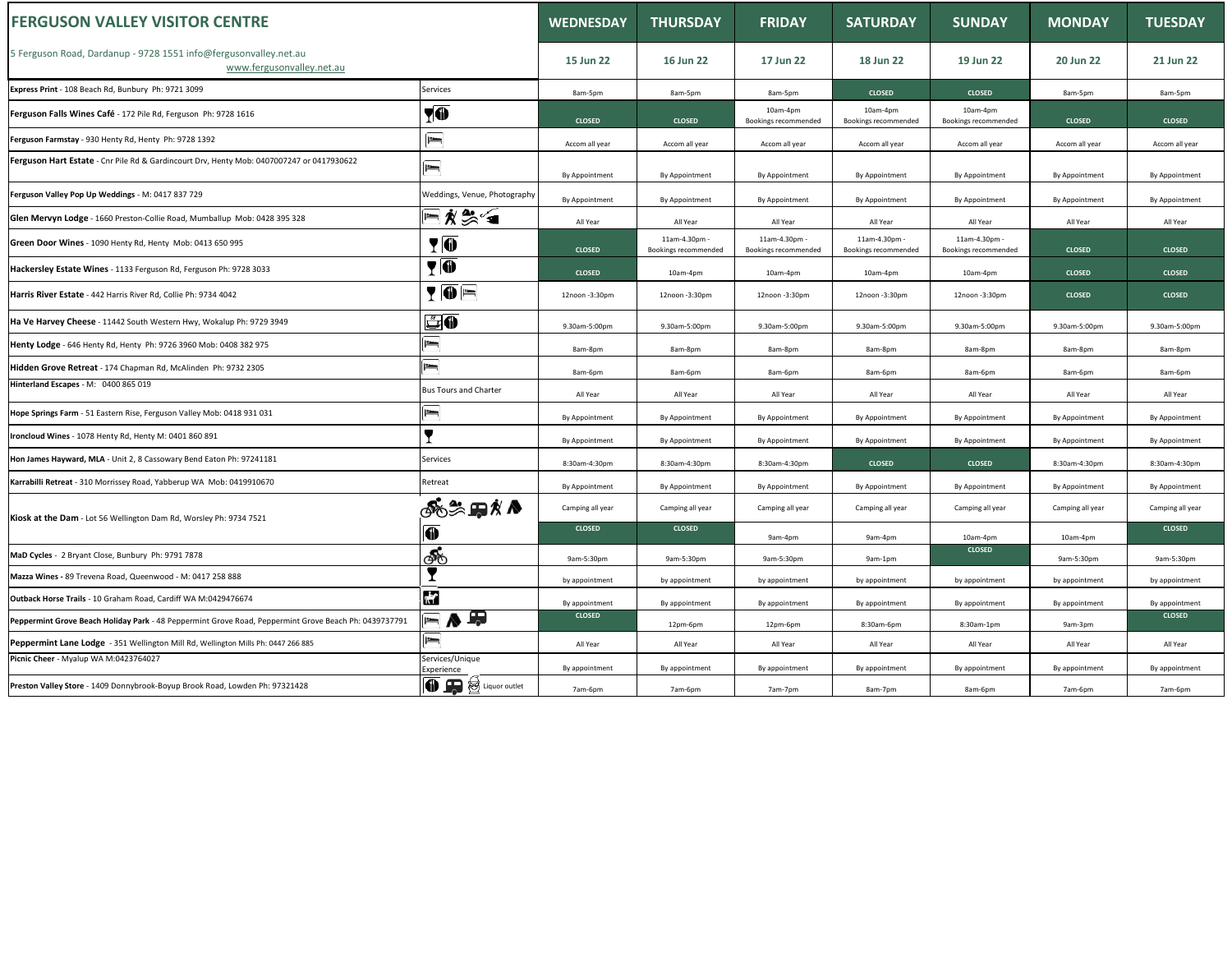| <b>FERGUSON VALLEY VISITOR CENTRE</b>                                                                 |                                        | <b>WEDNESDAY</b> | <b>THURSDAY</b>                       | <b>FRIDAY</b>                         | <b>SATURDAY</b>                       | <b>SUNDAY</b>                         | <b>MONDAY</b>    | <b>TUESDAY</b>   |
|-------------------------------------------------------------------------------------------------------|----------------------------------------|------------------|---------------------------------------|---------------------------------------|---------------------------------------|---------------------------------------|------------------|------------------|
| 5 Ferguson Road, Dardanup - 9728 1551 info@fergusonvalley.net.au<br>www.fergusonvalley.net.au         |                                        | 15 Jun 22        | 16 Jun 22                             | 17 Jun 22                             | 18 Jun 22                             | 19 Jun 22                             | 20 Jun 22        | 21 Jun 22        |
| Express Print - 108 Beach Rd, Bunbury Ph: 9721 3099                                                   | Services                               | 8am-5pm          | 8am-5pm                               | 8am-5pm                               | <b>CLOSED</b>                         | <b>CLOSED</b>                         | 8am-5pm          | 8am-5pm          |
| Ferguson Falls Wines Café - 172 Pile Rd, Ferguson Ph: 9728 1616                                       | YO                                     | <b>CLOSED</b>    | <b>CLOSED</b>                         | 10am-4pm<br>Bookings recommended      | 10am-4pm<br>Bookings recommended      | 10am-4pm<br>Bookings recommended      | <b>CLOSED</b>    | <b>CLOSED</b>    |
| Ferguson Farmstay - 930 Henty Rd, Henty Ph: 9728 1392                                                 | $\equiv$                               | Accom all year   | Accom all year                        | Accom all year                        | Accom all year                        | Accom all year                        | Accom all year   | Accom all year   |
| Ferguson Hart Estate - Cnr Pile Rd & Gardincourt Drv, Henty Mob: 0407007247 or 0417930622             | $=$                                    | By Appointment   | By Appointment                        | By Appointment                        | By Appointment                        | By Appointment                        | By Appointment   | By Appointment   |
| Ferguson Valley Pop Up Weddings - M: 0417 837 729                                                     | Weddings, Venue, Photography           | By Appointment   | By Appointment                        | By Appointment                        | By Appointment                        | By Appointment                        | By Appointment   | By Appointment   |
| Glen Mervyn Lodge - 1660 Preston-Collie Road, Mumballup Mob: 0428 395 328                             | F∦‰∕∎                                  | All Year         | All Year                              | All Year                              | All Year                              | All Year                              | All Year         | All Year         |
| Green Door Wines - 1090 Henty Rd, Henty Mob: 0413 650 995                                             | <b>TO</b>                              | <b>CLOSED</b>    | 11am-4.30pm -<br>Bookings recommended | 11am-4.30pm -<br>Bookings recommended | 11am-4.30pm -<br>Bookings recommended | 11am-4.30pm -<br>Bookings recommended | <b>CLOSED</b>    | <b>CLOSED</b>    |
| Hackersley Estate Wines - 1133 Ferguson Rd, Ferguson Ph: 9728 3033                                    | <b>YO</b>                              | <b>CLOSED</b>    | 10am-4pm                              | 10am-4pm                              | 10am-4pm                              | 10am-4pm                              | <b>CLOSED</b>    | <b>CLOSED</b>    |
| Harris River Estate - 442 Harris River Rd, Collie Ph: 9734 4042                                       | $\P\overline{\mathbf{0}}$ $\mathbf{F}$ | 12noon -3:30pm   | 12noon -3:30pm                        | 12noon -3:30pm                        | 12noon -3:30pm                        | 12noon -3:30pm                        | <b>CLOSED</b>    | <b>CLOSED</b>    |
| Ha Ve Harvey Cheese - 11442 South Western Hwy, Wokalup Ph: 9729 3949                                  | <u>SO</u>                              | 9.30am-5:00pm    | 9.30am-5:00pm                         | 9.30am-5:00pm                         | 9.30am-5:00pm                         | 9.30am-5:00pm                         | 9.30am-5:00pm    | 9.30am-5:00pm    |
| Henty Lodge - 646 Henty Rd, Henty Ph: 9726 3960 Mob: 0408 382 975                                     | $=$                                    | 8am-8pm          | 8am-8pm                               | 8am-8pm                               | 8am-8pm                               | 8am-8pm                               | 8am-8pm          | 8am-8pm          |
| Hidden Grove Retreat - 174 Chapman Rd, McAlinden Ph: 9732 2305                                        | <u>im</u>                              | 8am-6pm          | 8am-6pm                               | 8am-6pm                               | 8am-6pm                               | 8am-6pm                               | 8am-6pm          | 8am-6pm          |
| Hinterland Escapes - M: 0400 865 019                                                                  | <b>Bus Tours and Charter</b>           | All Year         | All Year                              | All Year                              | All Year                              | All Year                              | All Year         | All Year         |
| Hope Springs Farm - 51 Eastern Rise, Ferguson Valley Mob: 0418 931 031                                | $\equiv$                               | By Appointment   | By Appointment                        | By Appointment                        | By Appointment                        | By Appointment                        | By Appointment   | By Appointment   |
| Ironcloud Wines - 1078 Henty Rd, Henty M: 0401 860 891                                                | $\blacksquare$                         | By Appointment   | By Appointment                        | By Appointment                        | By Appointment                        | By Appointment                        | By Appointment   | By Appointment   |
| Hon James Hayward, MLA - Unit 2, 8 Cassowary Bend Eaton Ph: 97241181                                  | Services                               | 8:30am-4:30pm    | 8:30am-4:30pm                         | 8:30am-4:30pm                         | <b>CLOSED</b>                         | <b>CLOSED</b>                         | 8:30am-4:30pm    | 8:30am-4:30pm    |
| Karrabilli Retreat - 310 Morrissey Road, Yabberup WA Mob: 0419910670                                  | Retreat                                | By Appointment   | By Appointment                        | By Appointment                        | By Appointment                        | By Appointment                        | By Appointment   | By Appointment   |
| Kiosk at the Dam - Lot 56 Wellington Dam Rd, Worsley Ph: 9734 7521                                    | ைக்கா்∧                                | Camping all year | Camping all year                      | Camping all year                      | Camping all year                      | Camping all year                      | Camping all year | Camping all year |
|                                                                                                       | O                                      | <b>CLOSED</b>    | <b>CLOSED</b>                         | 9am-4pm                               | 9am-4pm                               | 10am-4pm                              | 10am-4pm         | <b>CLOSED</b>    |
| MaD Cycles - 2 Bryant Close, Bunbury Ph: 9791 7878                                                    | ණ්                                     | 9am-5:30pm       | 9am-5:30pm                            | 9am-5:30pm                            | 9am-1pm                               | <b>CLOSED</b>                         | 9am-5:30pm       | 9am-5:30pm       |
| Mazza Wines - 89 Trevena Road, Queenwood - M: 0417 258 888                                            | T                                      | by appointment   | by appointment                        | by appointment                        | by appointment                        | by appointment                        | by appointment   | by appointment   |
| Outback Horse Trails - 10 Graham Road, Cardiff WA M:0429476674                                        | <b>H</b>                               | By appointment   | By appointment                        | By appointment                        | By appointment                        | By appointment                        | By appointment   | By appointmen    |
| Peppermint Grove Beach Holiday Park - 48 Peppermint Grove Road, Peppermint Grove Beach Ph: 0439737791 | ▄ <mark>▗</mark> ▗                     | <b>CLOSED</b>    | 12pm-6pm                              | 12pm-6pm                              | 8:30am-6pm                            | 8:30am-1pm                            | 9am-3pm          | <b>CLOSED</b>    |
| Peppermint Lane Lodge - 351 Wellington Mill Rd, Wellington Mills Ph: 0447 266 885                     | $=$                                    | All Year         | All Year                              | All Year                              | All Year                              | All Year                              | All Year         | All Year         |
| Picnic Cheer - Myalup WA M:0423764027                                                                 | Services/Unique<br>Experience          | By appointment   | By appointment                        | By appointment                        | By appointment                        | By appointment                        | By appointment   | By appointmen    |
| Preston Valley Store - 1409 Donnybrook-Boyup Brook Road, Lowden Ph: 97321428                          | <b>TE</b> Suiquor outlet               | 7am-6pm          | 7am-6pm                               | 7am-7pm                               | 8am-7pm                               | 8am-6pm                               | 7am-6pm          | 7am-6pm          |